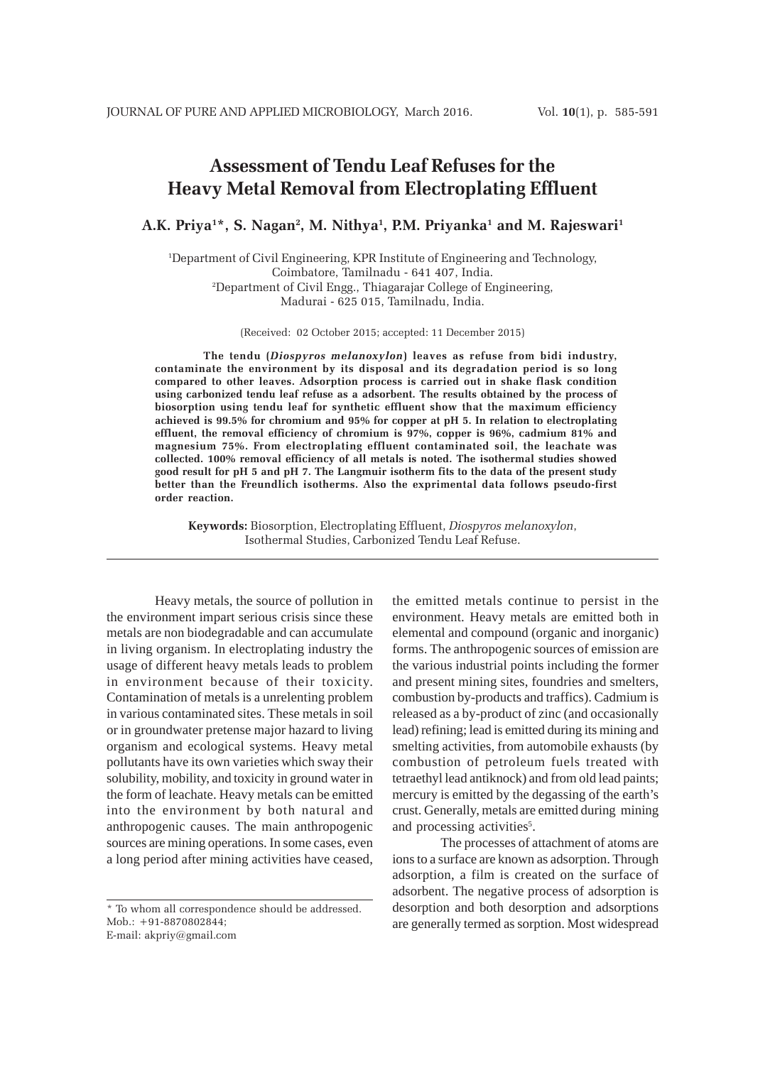# **Assessment of Tendu Leaf Refuses for the Heavy Metal Removal from Electroplating Effluent**

A.K. Priya<sup>1</sup>\*, S. Nagan<sup>2</sup>, M. Nithya<sup>1</sup>, P.M. Priyanka<sup>1</sup> and M. Rajeswari<sup>1</sup>

1 Department of Civil Engineering, KPR Institute of Engineering and Technology, Coimbatore, Tamilnadu - 641 407, India. 2 Department of Civil Engg., Thiagarajar College of Engineering, Madurai - 625 015, Tamilnadu, India.

(Received: 02 October 2015; accepted: 11 December 2015)

**The tendu (***Diospyros melanoxylon***) leaves as refuse from bidi industry, contaminate the environment by its disposal and its degradation period is so long compared to other leaves. Adsorption process is carried out in shake flask condition using carbonized tendu leaf refuse as a adsorbent. The results obtained by the process of biosorption using tendu leaf for synthetic effluent show that the maximum efficiency achieved is 99.5% for chromium and 95% for copper at pH 5. In relation to electroplating effluent, the removal efficiency of chromium is 97%, copper is 96%, cadmium 81% and magnesium 75%. From electroplating effluent contaminated soil, the leachate was collected. 100% removal efficiency of all metals is noted. The isothermal studies showed good result for pH 5 and pH 7. The Langmuir isotherm fits to the data of the present study better than the Freundlich isotherms. Also the exprimental data follows pseudo-first order reaction.**

**Keywords:** Biosorption, Electroplating Effluent, *Diospyros melanoxylon*, Isothermal Studies, Carbonized Tendu Leaf Refuse.

Heavy metals, the source of pollution in the environment impart serious crisis since these metals are non biodegradable and can accumulate in living organism. In electroplating industry the usage of different heavy metals leads to problem in environment because of their toxicity. Contamination of metals is a unrelenting problem in various contaminated sites. These metals in soil or in groundwater pretense major hazard to living organism and ecological systems. Heavy metal pollutants have its own varieties which sway their solubility, mobility, and toxicity in ground water in the form of leachate. Heavy metals can be emitted into the environment by both natural and anthropogenic causes. The main anthropogenic sources are mining operations. In some cases, even a long period after mining activities have ceased,

\* To whom all correspondence should be addressed. Mob.: +91-8870802844; E-mail: akpriy@gmail.com

the emitted metals continue to persist in the environment. Heavy metals are emitted both in elemental and compound (organic and inorganic) forms. The anthropogenic sources of emission are the various industrial points including the former and present mining sites, foundries and smelters, combustion by-products and traffics). Cadmium is released as a by-product of zinc (and occasionally lead) refining; lead is emitted during its mining and smelting activities, from automobile exhausts (by combustion of petroleum fuels treated with tetraethyl lead antiknock) and from old lead paints; mercury is emitted by the degassing of the earth's crust. Generally, metals are emitted during mining and processing activities<sup>5</sup>.

The processes of attachment of atoms are ions to a surface are known as adsorption. Through adsorption, a film is created on the surface of adsorbent. The negative process of adsorption is desorption and both desorption and adsorptions are generally termed as sorption. Most widespread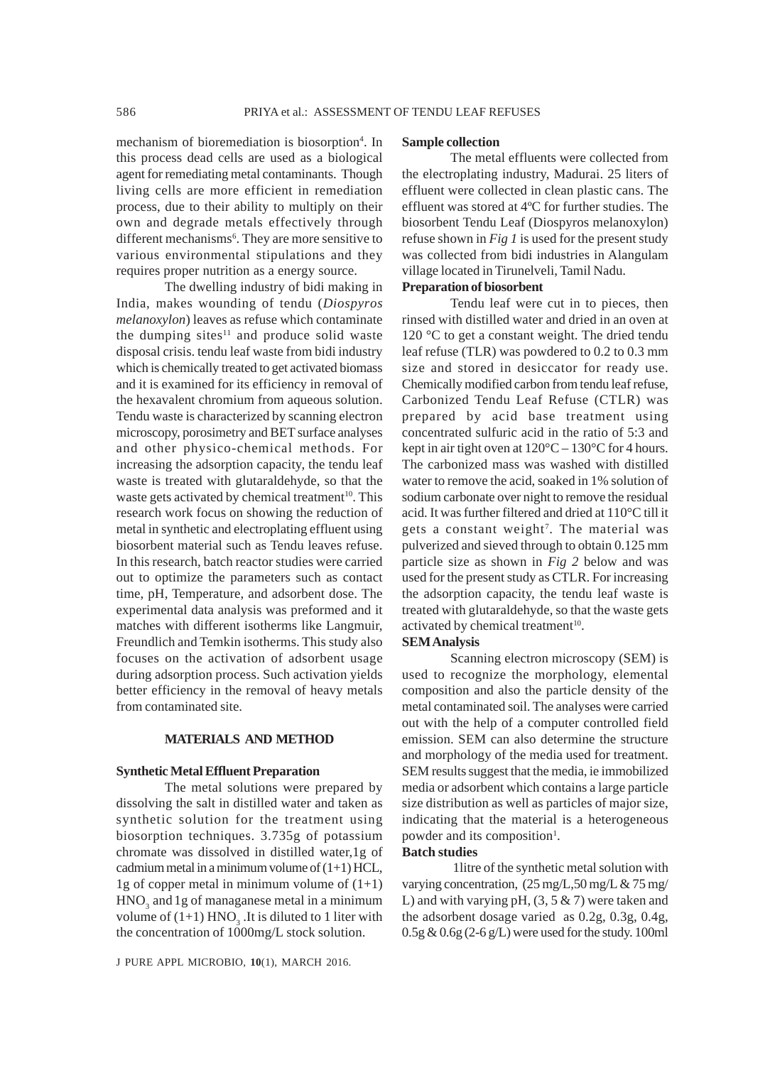mechanism of bioremediation is biosorption<sup>4</sup>. In this process dead cells are used as a biological agent for remediating metal contaminants. Though living cells are more efficient in remediation process, due to their ability to multiply on their own and degrade metals effectively through different mechanisms<sup>6</sup>. They are more sensitive to various environmental stipulations and they requires proper nutrition as a energy source.

The dwelling industry of bidi making in India, makes wounding of tendu (*Diospyros melanoxylon*) leaves as refuse which contaminate the dumping sites $11$  and produce solid waste disposal crisis. tendu leaf waste from bidi industry which is chemically treated to get activated biomass and it is examined for its efficiency in removal of the hexavalent chromium from aqueous solution. Tendu waste is characterized by scanning electron microscopy, porosimetry and BET surface analyses and other physico-chemical methods. For increasing the adsorption capacity, the tendu leaf waste is treated with glutaraldehyde, so that the waste gets activated by chemical treatment<sup>10</sup>. This research work focus on showing the reduction of metal in synthetic and electroplating effluent using biosorbent material such as Tendu leaves refuse. In this research, batch reactor studies were carried out to optimize the parameters such as contact time, pH, Temperature, and adsorbent dose. The experimental data analysis was preformed and it matches with different isotherms like Langmuir, Freundlich and Temkin isotherms. This study also focuses on the activation of adsorbent usage during adsorption process. Such activation yields better efficiency in the removal of heavy metals from contaminated site.

# **MATERIALS AND METHOD**

#### **Synthetic Metal Effluent Preparation**

The metal solutions were prepared by dissolving the salt in distilled water and taken as synthetic solution for the treatment using biosorption techniques. 3.735g of potassium chromate was dissolved in distilled water,1g of cadmium metal in a minimum volume of  $(1+1)$  HCL, 1g of copper metal in minimum volume of  $(1+1)$  $HNO<sub>3</sub>$  and 1g of managanese metal in a minimum volume of  $(1+1)$  HNO<sub>3</sub>. It is diluted to 1 liter with the concentration of 1000mg/L stock solution.

#### **Sample collection**

The metal effluents were collected from the electroplating industry, Madurai. 25 liters of effluent were collected in clean plastic cans. The effluent was stored at 4ºC for further studies. The biosorbent Tendu Leaf (Diospyros melanoxylon) refuse shown in *Fig 1* is used for the present study was collected from bidi industries in Alangulam village located in Tirunelveli, Tamil Nadu.

# **Preparation of biosorbent**

Tendu leaf were cut in to pieces, then rinsed with distilled water and dried in an oven at 120 °C to get a constant weight. The dried tendu leaf refuse (TLR) was powdered to 0.2 to 0.3 mm size and stored in desiccator for ready use. Chemically modified carbon from tendu leaf refuse, Carbonized Tendu Leaf Refuse (CTLR) was prepared by acid base treatment using concentrated sulfuric acid in the ratio of 5:3 and kept in air tight oven at  $120^{\circ}$ C –  $130^{\circ}$ C for 4 hours. The carbonized mass was washed with distilled water to remove the acid, soaked in 1% solution of sodium carbonate over night to remove the residual acid. It was further filtered and dried at 110°C till it gets a constant weight<sup>7</sup>. The material was pulverized and sieved through to obtain 0.125 mm particle size as shown in *Fig 2* below and was used for the present study as CTLR. For increasing the adsorption capacity, the tendu leaf waste is treated with glutaraldehyde, so that the waste gets activated by chemical treatment<sup>10</sup>.

### **SEM Analysis**

Scanning electron microscopy (SEM) is used to recognize the morphology, elemental composition and also the particle density of the metal contaminated soil. The analyses were carried out with the help of a computer controlled field emission. SEM can also determine the structure and morphology of the media used for treatment. SEM results suggest that the media, ie immobilized media or adsorbent which contains a large particle size distribution as well as particles of major size, indicating that the material is a heterogeneous powder and its composition<sup>1</sup>.

#### **Batch studies**

1litre of the synthetic metal solution with varying concentration, (25 mg/L,50 mg/L & 75 mg/ L) and with varying pH,  $(3, 5 \& 7)$  were taken and the adsorbent dosage varied as 0.2g, 0.3g, 0.4g, 0.5g & 0.6g (2-6 g/L) were used for the study. 100ml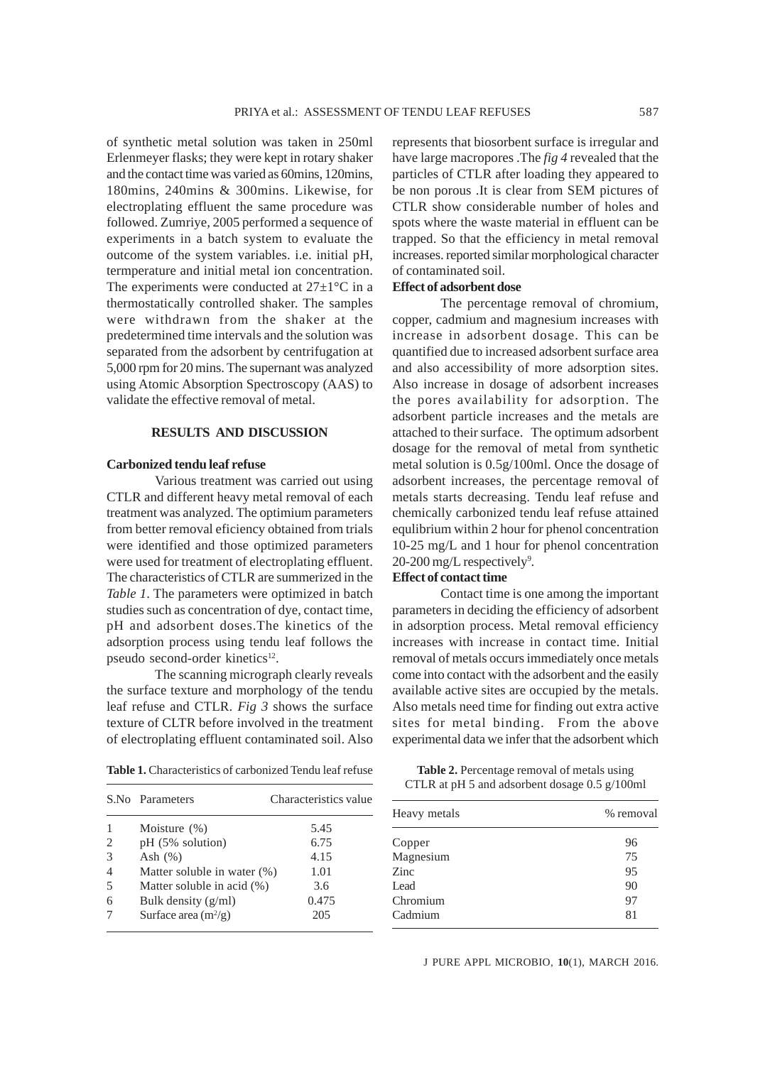of synthetic metal solution was taken in 250ml Erlenmeyer flasks; they were kept in rotary shaker and the contact time was varied as 60mins, 120mins, 180mins, 240mins & 300mins. Likewise, for electroplating effluent the same procedure was followed. Zumriye, 2005 performed a sequence of experiments in a batch system to evaluate the outcome of the system variables. i.e. initial pH, termperature and initial metal ion concentration. The experiments were conducted at  $27\pm1\,^{\circ}\text{C}$  in a thermostatically controlled shaker. The samples were withdrawn from the shaker at the predetermined time intervals and the solution was separated from the adsorbent by centrifugation at 5,000 rpm for 20 mins. The supernant was analyzed using Atomic Absorption Spectroscopy (AAS) to validate the effective removal of metal.

## **RESULTS AND DISCUSSION**

# **Carbonized tendu leaf refuse**

Various treatment was carried out using CTLR and different heavy metal removal of each treatment was analyzed. The optimium parameters from better removal eficiency obtained from trials were identified and those optimized parameters were used for treatment of electroplating effluent. The characteristics of CTLR are summerized in the *Table 1*. The parameters were optimized in batch studies such as concentration of dye, contact time, pH and adsorbent doses.The kinetics of the adsorption process using tendu leaf follows the pseudo second-order kinetics<sup>12</sup>.

The scanning micrograph clearly reveals the surface texture and morphology of the tendu leaf refuse and CTLR. *Fig 3* shows the surface texture of CLTR before involved in the treatment of electroplating effluent contaminated soil. Also represents that biosorbent surface is irregular and have large macropores .The *fig 4* revealed that the particles of CTLR after loading they appeared to be non porous .It is clear from SEM pictures of CTLR show considerable number of holes and spots where the waste material in effluent can be trapped. So that the efficiency in metal removal increases. reported similar morphological character of contaminated soil.

# **Effect of adsorbent dose**

The percentage removal of chromium, copper, cadmium and magnesium increases with increase in adsorbent dosage. This can be quantified due to increased adsorbent surface area and also accessibility of more adsorption sites. Also increase in dosage of adsorbent increases the pores availability for adsorption. The adsorbent particle increases and the metals are attached to their surface. The optimum adsorbent dosage for the removal of metal from synthetic metal solution is 0.5g/100ml. Once the dosage of adsorbent increases, the percentage removal of metals starts decreasing. Tendu leaf refuse and chemically carbonized tendu leaf refuse attained equlibrium within 2 hour for phenol concentration 10-25 mg/L and 1 hour for phenol concentration 20-200 mg/L respectively<sup>9</sup>.

# **Effect of contact time**

Contact time is one among the important parameters in deciding the efficiency of adsorbent in adsorption process. Metal removal efficiency increases with increase in contact time. Initial removal of metals occurs immediately once metals come into contact with the adsorbent and the easily available active sites are occupied by the metals. Also metals need time for finding out extra active sites for metal binding. From the above experimental data we infer that the adsorbent which

|   | S.No Parameters                | Characteristics value |
|---|--------------------------------|-----------------------|
|   | Moisture $(\%)$                | 5.45                  |
| 2 | pH (5% solution)               | 6.75                  |
| 3 | Ash $(\%)$                     | 4.15                  |
|   | Matter soluble in water $(\%)$ | 1.01                  |
| 5 | Matter soluble in acid (%)     | 3.6                   |
| 6 | Bulk density $(g/ml)$          | 0.475                 |
|   | Surface area $(m^2/g)$         | 205                   |

**Table 1.** Characteristics of carbonized Tendu leaf refuse

| Table 2. Percentage removal of metals using   |  |
|-----------------------------------------------|--|
| CTLR at pH 5 and adsorbent dosage 0.5 g/100ml |  |

| Heavy metals | % removal |
|--------------|-----------|
| Copper       | 96        |
| Magnesium    | 75        |
| Zinc         | 95        |
| Lead         | 90        |
| Chromium     | 97        |
| Cadmium      | 81        |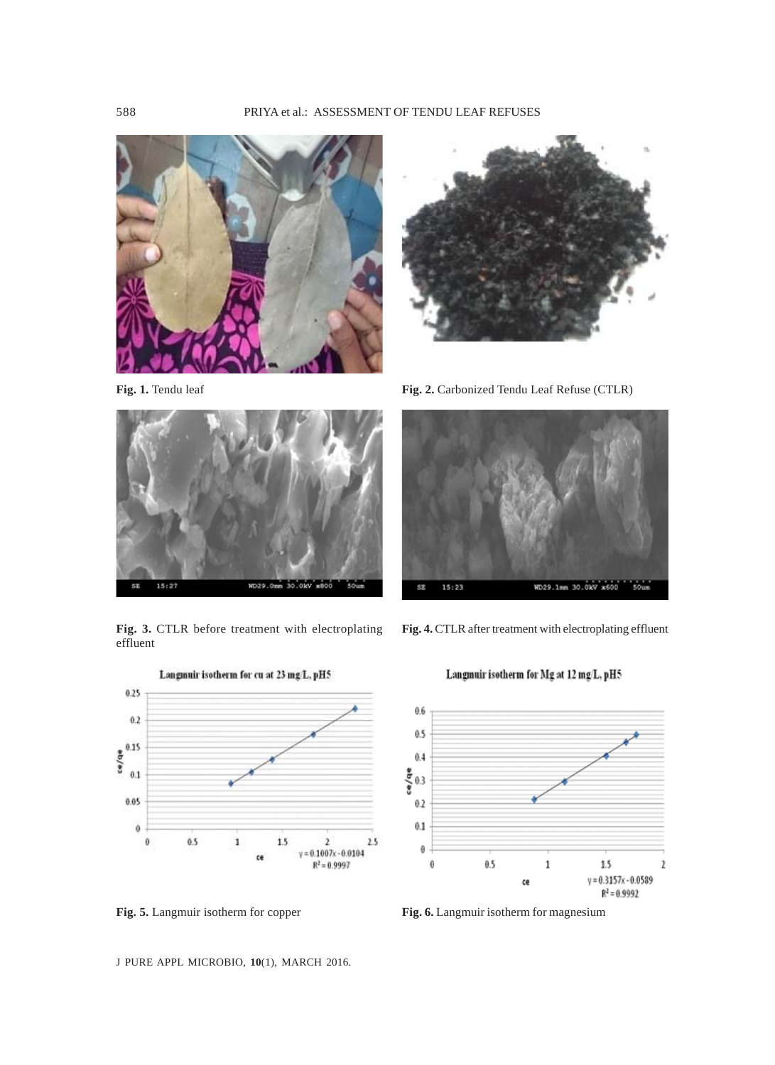





**Fig. 3.** CTLR before treatment with electroplating effluent



Langmuir isotherm for Mg at 12 mg/L, pH5

**Fig. 4.** CTLR after treatment with electroplating effluent



**Fig. 5.** Langmuir isotherm for copper **Fig. 6.** Langmuir isotherm for magnesium



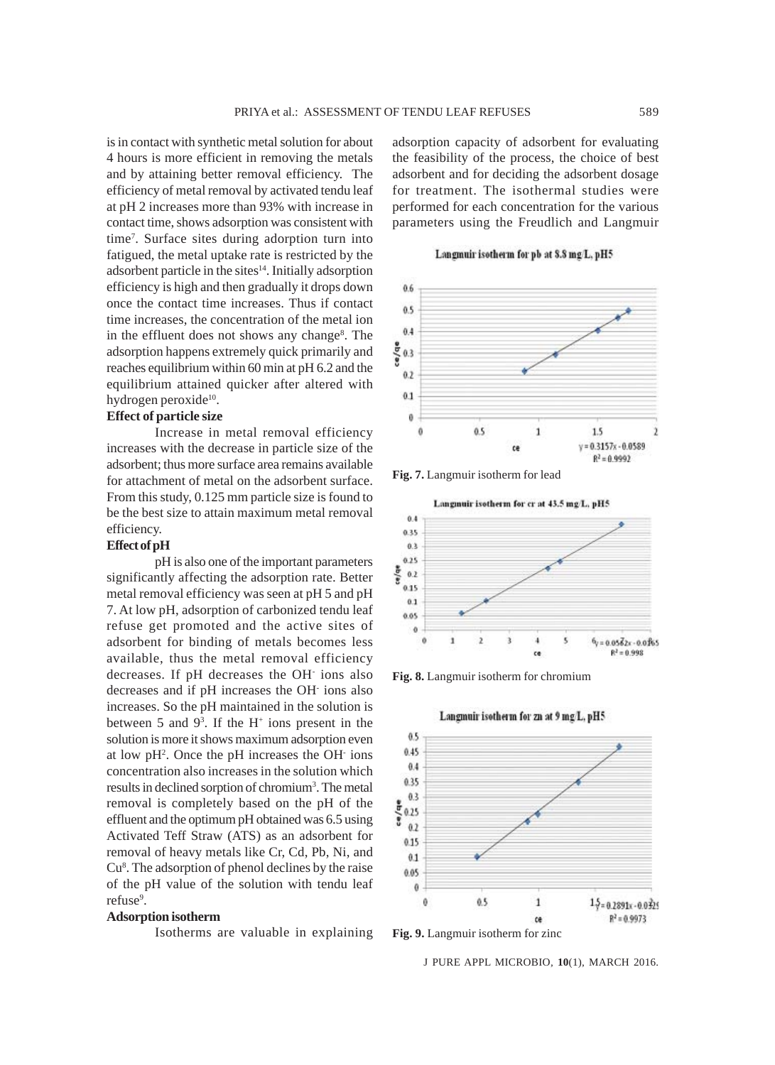is in contact with synthetic metal solution for about 4 hours is more efficient in removing the metals and by attaining better removal efficiency. The efficiency of metal removal by activated tendu leaf at pH 2 increases more than 93% with increase in contact time, shows adsorption was consistent with time7 . Surface sites during adorption turn into fatigued, the metal uptake rate is restricted by the adsorbent particle in the sites<sup>14</sup>. Initially adsorption efficiency is high and then gradually it drops down once the contact time increases. Thus if contact time increases, the concentration of the metal ion in the effluent does not shows any change<sup>8</sup>. The adsorption happens extremely quick primarily and reaches equilibrium within 60 min at pH 6.2 and the equilibrium attained quicker after altered with hydrogen peroxide<sup>10</sup>.

# **Effect of particle size**

Increase in metal removal efficiency increases with the decrease in particle size of the adsorbent; thus more surface area remains available for attachment of metal on the adsorbent surface. From this study, 0.125 mm particle size is found to be the best size to attain maximum metal removal efficiency.

#### **Effect of pH**

pH is also one of the important parameters significantly affecting the adsorption rate. Better metal removal efficiency was seen at pH 5 and pH 7. At low pH, adsorption of carbonized tendu leaf refuse get promoted and the active sites of adsorbent for binding of metals becomes less available, thus the metal removal efficiency decreases. If pH decreases the OH- ions also decreases and if pH increases the OH- ions also increases. So the pH maintained in the solution is between 5 and  $9^3$ . If the H<sup>+</sup> ions present in the solution is more it shows maximum adsorption even at low pH<sup>2</sup>. Once the pH increases the OH ions concentration also increases in the solution which results in declined sorption of chromium<sup>3</sup>. The metal removal is completely based on the pH of the effluent and the optimum pH obtained was 6.5 using Activated Teff Straw (ATS) as an adsorbent for removal of heavy metals like Cr, Cd, Pb, Ni, and Cu<sup>8</sup>. The adsorption of phenol declines by the raise of the pH value of the solution with tendu leaf refuse<sup>9</sup>.

#### **Adsorption isotherm**

Isotherms are valuable in explaining

adsorption capacity of adsorbent for evaluating the feasibility of the process, the choice of best adsorbent and for deciding the adsorbent dosage for treatment. The isothermal studies were performed for each concentration for the various parameters using the Freudlich and Langmuir

Langmuir isotherm for pb at 8.8 mg/L, pH5



**Fig. 7.** Langmuir isotherm for lead



**Fig. 8.** Langmuir isotherm for chromium



Langmuir isotherm for zn at 9 mg L, pH5

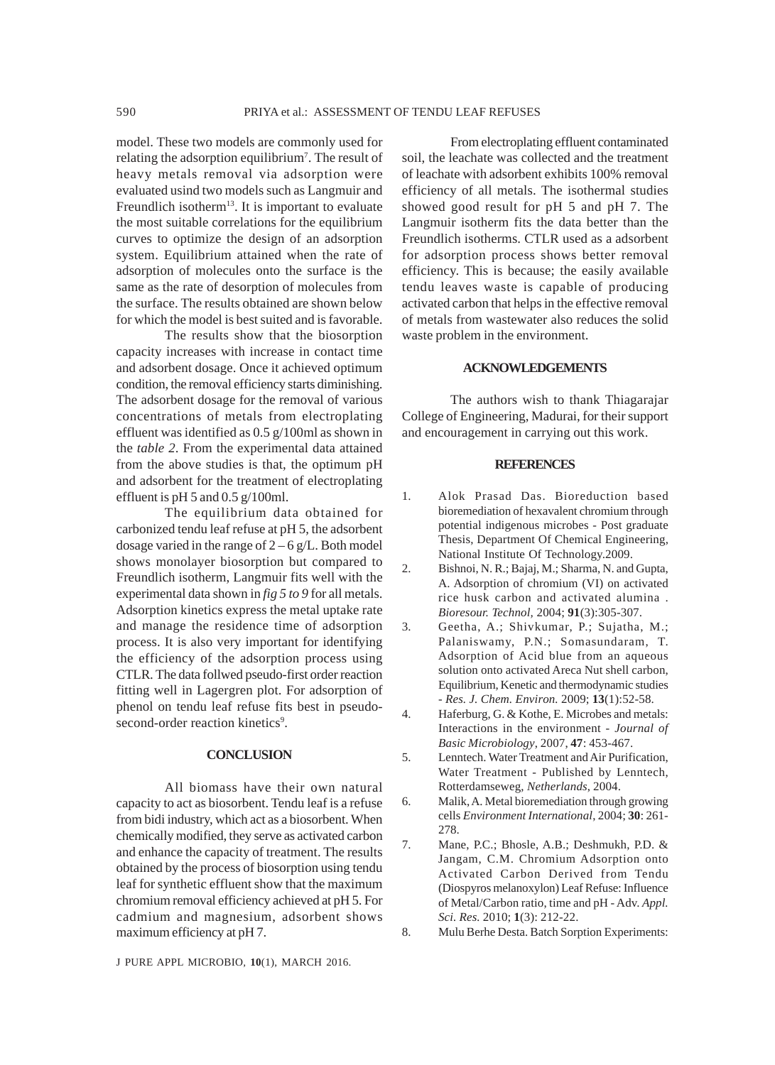model. These two models are commonly used for relating the adsorption equilibrium<sup>7</sup>. The result of heavy metals removal via adsorption were evaluated usind two models such as Langmuir and Freundlich isotherm $13$ . It is important to evaluate the most suitable correlations for the equilibrium curves to optimize the design of an adsorption system. Equilibrium attained when the rate of adsorption of molecules onto the surface is the same as the rate of desorption of molecules from the surface. The results obtained are shown below for which the model is best suited and is favorable.

The results show that the biosorption capacity increases with increase in contact time and adsorbent dosage. Once it achieved optimum condition, the removal efficiency starts diminishing. The adsorbent dosage for the removal of various concentrations of metals from electroplating effluent was identified as 0.5 g/100ml as shown in the *table 2*. From the experimental data attained from the above studies is that, the optimum pH and adsorbent for the treatment of electroplating effluent is pH 5 and 0.5 g/100ml.

The equilibrium data obtained for carbonized tendu leaf refuse at pH 5, the adsorbent dosage varied in the range of  $2 - 6$  g/L. Both model shows monolayer biosorption but compared to Freundlich isotherm, Langmuir fits well with the experimental data shown in *fig 5 to 9* for all metals. Adsorption kinetics express the metal uptake rate and manage the residence time of adsorption process. It is also very important for identifying the efficiency of the adsorption process using CTLR. The data follwed pseudo-first order reaction fitting well in Lagergren plot. For adsorption of phenol on tendu leaf refuse fits best in pseudosecond-order reaction kinetics<sup>9</sup>.

# **CONCLUSION**

All biomass have their own natural capacity to act as biosorbent. Tendu leaf is a refuse from bidi industry, which act as a biosorbent. When chemically modified, they serve as activated carbon and enhance the capacity of treatment. The results obtained by the process of biosorption using tendu leaf for synthetic effluent show that the maximum chromium removal efficiency achieved at pH 5. For cadmium and magnesium, adsorbent shows maximum efficiency at pH 7.

From electroplating effluent contaminated soil, the leachate was collected and the treatment of leachate with adsorbent exhibits 100% removal efficiency of all metals. The isothermal studies showed good result for pH 5 and pH 7. The Langmuir isotherm fits the data better than the Freundlich isotherms. CTLR used as a adsorbent for adsorption process shows better removal efficiency. This is because; the easily available tendu leaves waste is capable of producing activated carbon that helps in the effective removal of metals from wastewater also reduces the solid waste problem in the environment.

### **ACKNOWLEDGEMENTS**

The authors wish to thank Thiagarajar College of Engineering, Madurai, for their support and encouragement in carrying out this work.

#### **REFERENCES**

- 1. Alok Prasad Das. Bioreduction based bioremediation of hexavalent chromium through potential indigenous microbes - Post graduate Thesis, Department Of Chemical Engineering, National Institute Of Technology.2009.
- 2. Bishnoi, N. R.; Bajaj, M.; Sharma, N. and Gupta, A. Adsorption of chromium (VI) on activated rice husk carbon and activated alumina . *Bioresour. Technol,* 2004; **91**(3):305-307.
- 3. Geetha, A.; Shivkumar, P.; Sujatha, M.; Palaniswamy, P.N.; Somasundaram, T. Adsorption of Acid blue from an aqueous solution onto activated Areca Nut shell carbon, Equilibrium, Kenetic and thermodynamic studies *- Res. J. Chem. Environ.* 2009; **13**(1):52-58.
- 4. Haferburg, G. & Kothe, E. Microbes and metals: Interactions in the environment *- Journal of Basic Microbiology*, 2007, **47**: 453-467.
- 5. Lenntech. Water Treatment and Air Purification, Water Treatment - Published by Lenntech, Rotterdamseweg, *Netherlands*, 2004.
- 6. Malik, A. Metal bioremediation through growing cells *Environment International*, 2004; **30**: 261- 278.
- 7. Mane, P.C.; Bhosle, A.B.; Deshmukh, P.D. & Jangam, C.M. Chromium Adsorption onto Activated Carbon Derived from Tendu (Diospyros melanoxylon) Leaf Refuse: Influence of Metal/Carbon ratio, time and pH - Adv. *Appl. Sci. Res.* 2010; **1**(3): 212-22.

8. Mulu Berhe Desta. Batch Sorption Experiments: